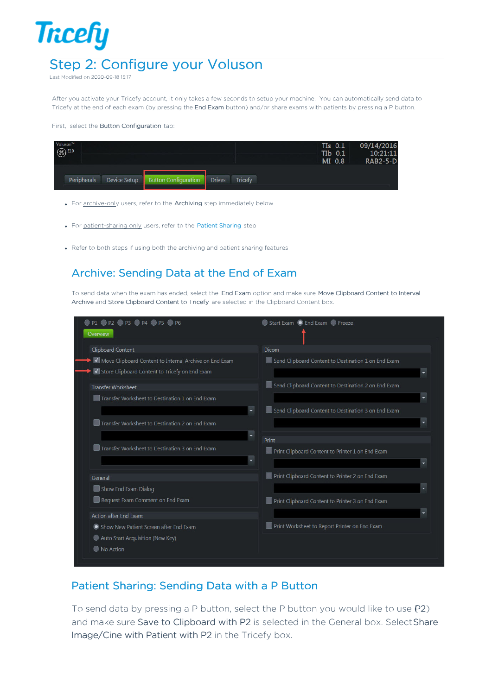## **Tricefy** Step 2: Configure your Voluson

Last Modified on 2020-09-18 15:17

After you activate your Tricefy account, it only takes a few seconds to setup your machine. You can automatically send data to Tricefy at the end of each exam (by pressing the End Exam button) and/or share exams with patients by pressing a P button.

## First, select the Button Configuration tab:

| Voluson <sup>78</sup><br>$\circledast$ E10 |                             | $TIs$ 0.1<br>TIb 0.1<br>MI 0.8  | 09/14/2016<br>10:21:11<br><b>RAB2-5-D</b> |
|--------------------------------------------|-----------------------------|---------------------------------|-------------------------------------------|
| Peripherals<br>Device Setup                | <b>Button Configuration</b> | <b>Drives</b><br><b>Tricefy</b> |                                           |

- For archive-only users, refer to the Archiving step immediately below
- For patient-sharing only users, refer to the Patient Sharing step
- Refer to both steps if using both the archiving and patient sharing features

## Archive: Sending Data at the End of Exam

To send data when the exam has ended, select the End Exam option and make sure Move Clipboard Content to Interval Archive and Store Clipboard Content to Tricefy are selected in the Clipboard Content box.

| <b>O</b> P1 <b>O</b> P2 <b>O</b> P3 <b>O</b> P4 <b>O</b> P5 <b>O</b> P6 | Start Exam O End Exam O Freeze                              |
|-------------------------------------------------------------------------|-------------------------------------------------------------|
| Overview                                                                |                                                             |
| <b>Clipboard Content</b>                                                | Dicom                                                       |
| Move Clipboard Content to Internal Archive on End Exam                  | Send Clipboard Content to Destination 1 on End Exam         |
| J Store Clipboard Content to Tricefy on End Exam                        | ٠                                                           |
| <b>Transfer Worksheet</b>                                               | Send Clipboard Content to Destination 2 on End Exam         |
| Transfer Worksheet to Destination 1 on End Exam                         |                                                             |
|                                                                         | $\sf I$ Send Clipboard Content to Destination 3 on End Exam |
| Transfer Worksheet to Destination 2 on End Exam                         |                                                             |
|                                                                         | Print                                                       |
| Transfer Worksheet to Destination 3 on End Exam                         | Print Clipboard Content to Printer 1 on End Exam            |
|                                                                         |                                                             |
| General                                                                 | Print Clipboard Content to Printer 2 on End Exam            |
| Show End Exam Dialog                                                    |                                                             |
| Request Exam Comment on End Exam                                        | Print Clipboard Content to Printer 3 on End Exam            |
| Action after End Exam:                                                  |                                                             |
| Show New Patient Screen after End Exam                                  | Print Worksheet to Report Printer on End Exam               |
| Auto Start Acquisition (New Key)                                        |                                                             |
| No Action                                                               |                                                             |
|                                                                         |                                                             |

## Patient Sharing: Sending Data with a P Button

To send data by pressing a P button, select the P button you would like to use  $(P2)$ and make sure Save to Clipboard with P2 is selected in the General box. SelectShare Image/Cine with Patient with P2 in the Tricefy box.